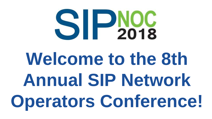

# **Welcome to the 8th Annual SIP Network Operators Conference!**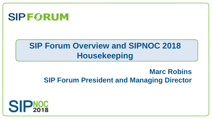

### **SIP Forum Overview and SIPNOC 2018 Housekeeping**

#### **Marc Robins SIP Forum President and Managing Director**

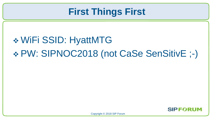### **First Things First**

## WiFi SSID: HyattMTG PW: SIPNOC2018 (not CaSe SenSitivE ;-)

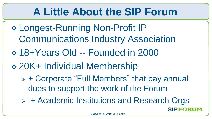## **A Little About the SIP Forum**

- Longest-Running Non-Profit IP Communications Industry Association
- 18+Years Old -- Founded in 2000
- 20K+ Individual Membership
	- $\triangleright$  + Corporate "Full Members" that pay annual dues to support the work of the Forum
	- $\triangleright$  + Academic Institutions and Research Orgs

**SIPFORUM**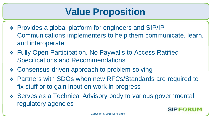### **Value Proposition**

- Provides a global platform for engineers and SIP/IP Communications implementers to help them communicate, learn, and interoperate
- Fully Open Participation, No Paywalls to Access Ratified Specifications and Recommendations
- Consensus-driven approach to problem solving
- Partners with SDOs when new RFCs/Standards are required to fix stuff or to gain input on work in progress
- Serves as a Technical Advisory body to various governmental regulatory agencies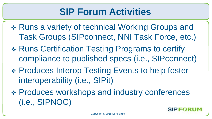### **SIP Forum Activities**

- Runs a variety of technical Working Groups and Task Groups (SIPconnect, NNI Task Force, etc.)
- Runs Certification Testing Programs to certify compliance to published specs (i.e., SIPconnect)
- Produces Interop Testing Events to help foster interoperability (i.e., SIPit)
- Produces workshops and industry conferences (i.e., SIPNOC)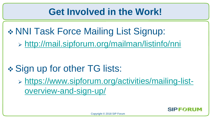### **Get Involved in the Work!**

\* NNI Task Force Mailing List Signup:

<http://mail.sipforum.org/mailman/listinfo/nni>

### **❖ Sign up for other TG lists:**

 [https://www.sipforum.org/activities/mailing-list](https://www.sipforum.org/activities/mailing-list-overview-and-sign-up/)[overview-and-sign-up/](https://www.sipforum.org/activities/mailing-list-overview-and-sign-up/)

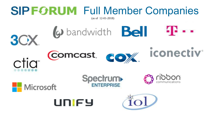## **SIP FORUM** Full Member Companies

(as of 12-01-2018)

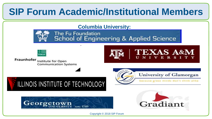### **SIP Forum Academic/Institutional Members**

#### **Columbia University:**



The Fu Foundation **School of Engineering & Applied Science** 



Fraunhofer Institute for Open **Communication Systems** 











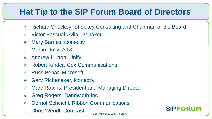### **Hat Tip to the SIP Forum Board of Directors**

- Richard Shockey, Shockey Consulting and Chairman of the Board
- Victor Pascual-Avila, Genaker
- Mary Barnes, iconectiv
- Martin Dolly, AT&T
- **❖** Andrew Hutton, Unify
- Robert Kinder, Cox Communications
- ◆ Russ Penar, Microsoft
- Gary Richenaker, iconectiv
- ◆ Marc Robins, President and Managing Director
- Greg Rogers, Bandwidth Inc.
- Gernot Scheichl, Ribbon Communications
- Chris Wendt, Comcast



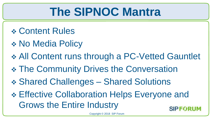## **The SIPNOC Mantra**

- Content Rules
- \* No Media Policy
- All Content runs through a PC-Vetted Gauntlet
- \* The Community Drives the Conversation
- Shared Challenges Shared Solutions
- Effective Collaboration Helps Everyone and Grows the Entire Industry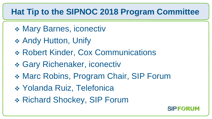#### **Hat Tip to the SIPNOC 2018 Program Committee**

- Mary Barnes, iconectiv
- **❖ Andy Hutton, Unify**
- Robert Kinder, Cox Communications
- Gary Richenaker, iconectiv
- Marc Robins, Program Chair, SIP Forum
- \* Yolanda Ruiz, Telefonica
- Richard Shockey, SIP Forum

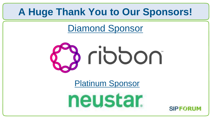### **A Huge Thank You to Our Sponsors!**

Diamond Sponsor



Platinum Sponsor



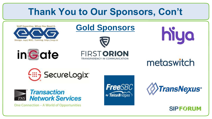### **Thank You to Our Sponsors, Con't**











metaswitch





One Connection - A World of Opportunities





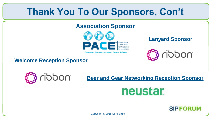### **Thank You To Our Sponsors, Con't**

#### **Association Sponsor**



#### **Lanyard Sponsor**



**Welcome Reception Sponsor**



#### **Beer and Gear Networking Reception Sponsor**

### neustar.

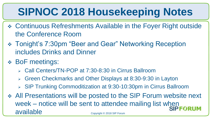## **SIPNOC 2018 Housekeeping Notes**

- Continuous Refreshments Available in the Foyer Right outside the Conference Room
- Tonight's 7:30pm "Beer and Gear" Networking Reception includes Drinks and Dinner
- BoF meetings:
	- Call Centers/TN-POP at 7:30-8:30 in Cirrus Ballroom
	- Green Checkmarks and Other Displays at 8:30-9:30 in Layton
	- SIP Trunking Commoditization at 9:30-10:30pm in Cirrus Ballroom
- All Presentations will be posted to the SIP Forum website next week – notice will be sent to attendee mailing list when available Copyright © 2018 SIP Forum